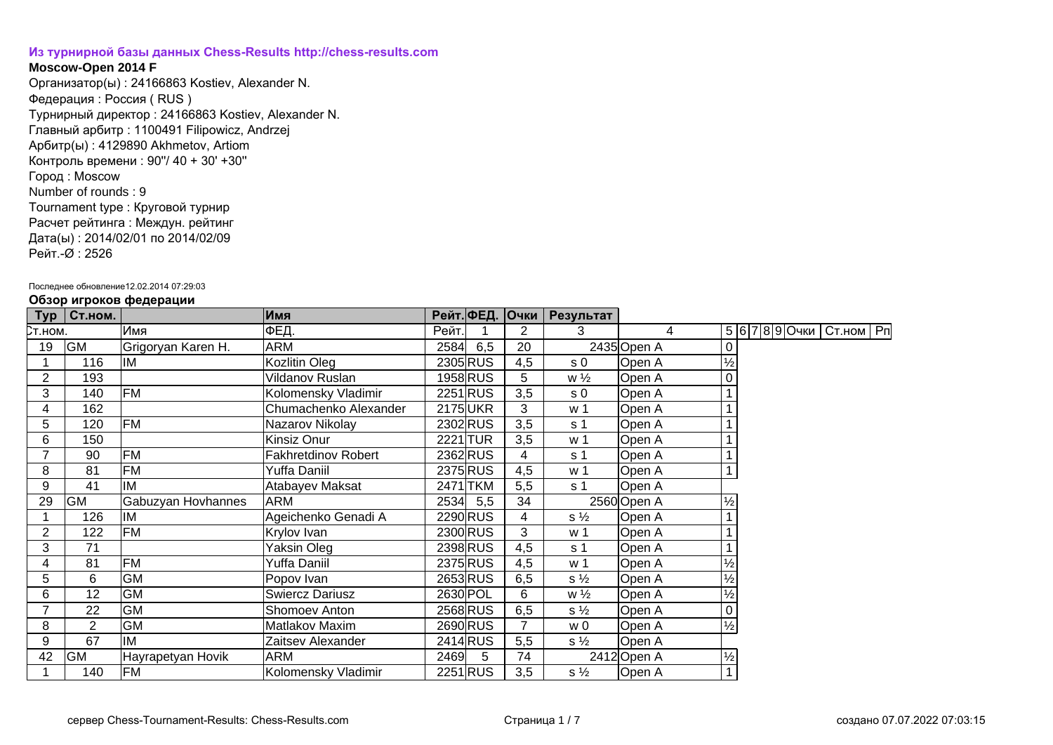## **[Из турнирной базы данных Chess-Results http://chess-results.com](http://chess-results.com/)**

## **Moscow-Open 2014 F**

Организатор(ы) : 24166863 Kostiev, Alexander N. Федерация : Россия ( RUS ) Турнирный директор : 24166863 Kostiev, Alexander N. Главный арбитр : 1100491 Filipowicz, Andrzej Арбитр(ы) : 4129890 Akhmetov, Artiom Контроль времени : 90''/ 40 + 30' +30'' Город : Moscow Number of rounds : 9 Tournament type : Круговой турнир Расчет рейтинга : Междун. рейтинг Дата(ы) : 2014/02/01 по 2014/02/09 Рейт.-Ø : 2526

## Последнее обновление12.02.2014 07:29:03

| Typ            | Ст.ном.        | .                  | Имя                        |       |          |                | Рейт. ФЕД. Очки   Результат |                |               |  |                              |  |
|----------------|----------------|--------------------|----------------------------|-------|----------|----------------|-----------------------------|----------------|---------------|--|------------------------------|--|
| Ст.ном.        |                | Имя                | ФЕД.                       | Рейт. |          | 2              | 3                           | $\overline{4}$ |               |  | 5 6 7 8 9 Очки   Ст.ном   Рп |  |
| 19             | <b>GM</b>      | Grigoryan Karen H. | <b>ARM</b>                 | 2584  | 6,5      | 20             |                             | 2435 Open A    |               |  |                              |  |
|                | 116            | IM                 | Kozlitin Oleg              |       | 2305 RUS | 4,5            | s <sub>0</sub>              | Open A         | $\frac{1}{2}$ |  |                              |  |
| 2              | 193            |                    | Vildanov Ruslan            |       | 1958 RUS | 5              | $w\frac{1}{2}$              | Open A         |               |  |                              |  |
| 3              | 140            | FM                 | Kolomensky Vladimir        |       | 2251 RUS | 3,5            | s <sub>0</sub>              | Open A         |               |  |                              |  |
| 4              | 162            |                    | Chumachenko Alexander      |       | 2175 UKR | 3              | w 1                         | Open A         |               |  |                              |  |
| 5              | 120            | <b>FM</b>          | Nazarov Nikolay            |       | 2302 RUS | 3,5            | s <sub>1</sub>              | Open A         |               |  |                              |  |
| 6              | 150            |                    | Kinsiz Onur                |       | 2221 TUR | 3,5            | w <sub>1</sub>              | Open A         |               |  |                              |  |
| $\overline{ }$ | 90             | FM                 | <b>Fakhretdinov Robert</b> |       | 2362RUS  | 4              | s 1                         | Open A         |               |  |                              |  |
| 8              | 81             | <b>FM</b>          | Yuffa Daniil               |       | 2375 RUS | 4,5            | w 1                         | Open A         |               |  |                              |  |
| 9              | 41             | IM                 | Atabayev Maksat            |       | 2471 TKM | 5,5            | s 1                         | Open A         |               |  |                              |  |
| 29             | <b>GM</b>      | Gabuzyan Hovhannes | <b>ARM</b>                 |       | 2534 5,5 | 34             |                             | 2560 Open A    | $\frac{1}{2}$ |  |                              |  |
|                | 126            | IM                 | Ageichenko Genadi A        |       | 2290 RUS | 4              | $s\frac{1}{2}$              | Open A         |               |  |                              |  |
| 2              | 122            | FM                 | Krylov Ivan                |       | 2300 RUS | 3              | w <sub>1</sub>              | Open A         |               |  |                              |  |
| 3              | 71             |                    | Yaksin Oleg                |       | 2398 RUS | 4,5            | s 1                         | Open A         |               |  |                              |  |
| 4              | 81             | <b>FM</b>          | Yuffa Daniil               |       | 2375 RUS | 4,5            | w 1                         | Open A         | ⅛             |  |                              |  |
| 5              | 6              | <b>GM</b>          | Popov Ivan                 |       | 2653 RUS | 6,5            | $s\frac{1}{2}$              | Open A         | $\frac{1}{2}$ |  |                              |  |
| 6              | 12             | <b>GM</b>          | <b>Swiercz Dariusz</b>     |       | 2630 POL | 6              | $w\frac{1}{2}$              | Open A         | $\frac{1}{2}$ |  |                              |  |
| 7              | 22             | <b>GM</b>          | Shomoev Anton              |       | 2568 RUS | 6,5            | $s\frac{1}{2}$              | Open A         |               |  |                              |  |
| 8              | $\overline{2}$ | <b>GM</b>          | Matlakov Maxim             |       | 2690 RUS | $\overline{7}$ | w 0                         | Open A         | $\frac{1}{2}$ |  |                              |  |
| 9              | 67             | IM                 | Zaitsev Alexander          |       | 2414 RUS | 5,5            | $s\frac{1}{2}$              | Open A         |               |  |                              |  |
| 42             | GM             | Hayrapetyan Hovik  | <b>ARM</b>                 | 2469  | 5        | 74             |                             | 2412 Open A    | $\frac{1}{2}$ |  |                              |  |
|                | 140            | <b>FM</b>          | Kolomensky Vladimir        |       | 2251 RUS | 3,5            | $s\frac{1}{2}$              | Open A         |               |  |                              |  |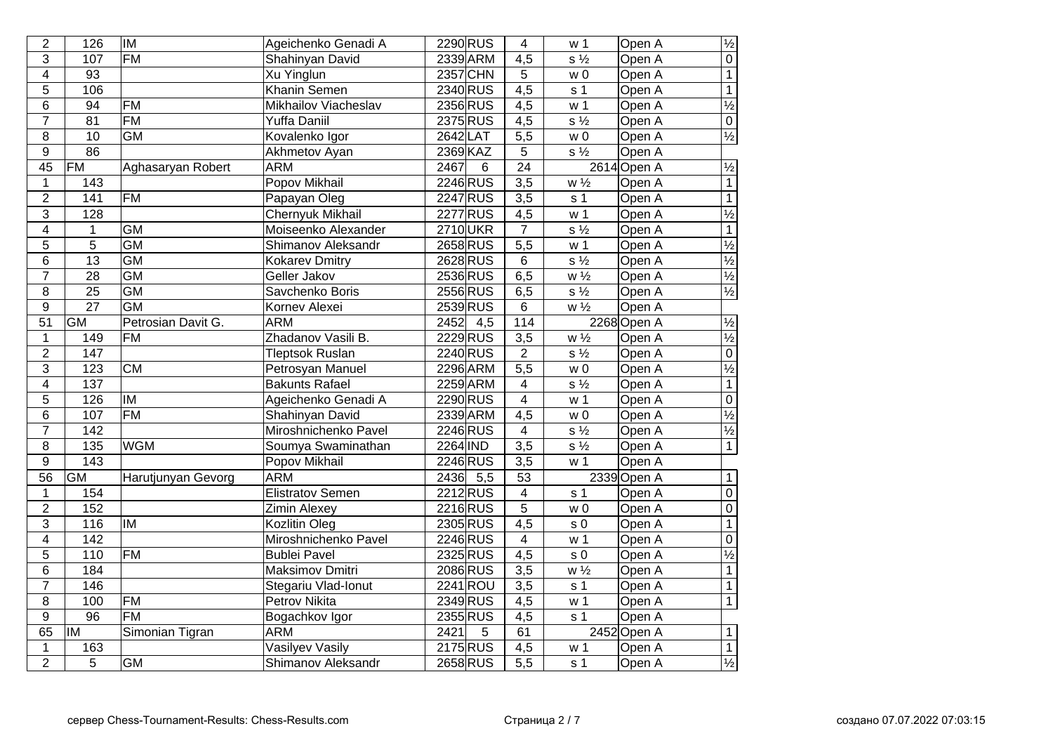| $\overline{2}$          | 126              | <b>IM</b>                | Ageichenko Genadi A     | 2290 RUS                 | 4                | w 1                       | Open A      | $\frac{1}{2}$            |
|-------------------------|------------------|--------------------------|-------------------------|--------------------------|------------------|---------------------------|-------------|--------------------------|
| $\overline{3}$          | 107              | $\overline{FM}$          | Shahinyan David         | 2339 ARM                 | $\overline{4,5}$ | $s\frac{1}{2}$            | Open A      | $\overline{0}$           |
| $\overline{\mathbf{4}}$ | $\overline{93}$  |                          | Xu Yinglun              | <b>2357 CHN</b>          | 5                | w <sub>0</sub>            | Open A      | $\overline{1}$           |
| $\overline{5}$          | 106              |                          | <b>Khanin Semen</b>     | 2340 RUS                 | $\overline{4,5}$ | s <sub>1</sub>            | Open A      | $\overline{1}$           |
| 6                       | 94               | <b>FM</b>                | Mikhailov Viacheslav    | 2356 RUS                 | 4,5              | w <sub>1</sub>            | Open A      | $\frac{1}{2}$            |
| $\overline{7}$          | 81               | <b>FM</b>                | <b>Yuffa Daniil</b>     | 2375 RUS                 | 4,5              | $s\frac{1}{2}$            | Open A      | $\overline{0}$           |
| $\overline{8}$          | 10               | <b>GM</b>                | Kovalenko Igor          | 2642 LAT                 | 5,5              | w <sub>0</sub>            | Open A      | $\frac{1}{2}$            |
| $\overline{9}$          | 86               |                          | Akhmetov Ayan           | 2369 KAZ                 | 5                | $\overline{s\frac{1}{2}}$ | Open A      |                          |
| 45                      | FM               | Aghasaryan Robert        | <b>ARM</b>              | 2467<br>6                | $\overline{24}$  |                           | 2614 Open A | $\frac{1}{2}$            |
| $\mathbf 1$             | 143              |                          | Popov Mikhail           | 2246 RUS                 | $\overline{3,5}$ | $w\frac{1}{2}$            | Open A      | $\overline{1}$           |
| $\overline{2}$          | 141              | $\overline{FM}$          | Papayan Oleg            | 2247 RUS                 | $\overline{3,5}$ | s <sub>1</sub>            | Open A      | $\overline{1}$           |
| $\overline{3}$          | 128              |                          | <b>Chernyuk Mikhail</b> | 2277 RUS                 | 4,5              | w <sub>1</sub>            | Open A      | $\frac{1}{2}$            |
| $\overline{\mathbf{4}}$ | 1                | $\overline{GM}$          | Moiseenko Alexander     | 2710UKR                  | $\overline{7}$   | $s\frac{1}{2}$            | Open A      | $\overline{1}$           |
| 5                       | $\overline{5}$   | $\overline{GM}$          | Shimanov Aleksandr      | 2658 RUS                 | $\overline{5,5}$ | w <sub>1</sub>            | Open A      | $\frac{1}{2}$            |
| $6\phantom{a}$          | $\overline{13}$  | $\overline{GM}$          | <b>Kokarev Dmitry</b>   | 2628 RUS                 | $\overline{6}$   | $s\frac{1}{2}$            | Open A      | $\overline{\frac{1}{2}}$ |
| $\overline{7}$          | $\overline{28}$  | <b>GM</b>                | Geller Jakov            | 2536 RUS                 | 6,5              | $w\frac{1}{2}$            | Open A      | $\frac{1}{2}$            |
| $\overline{8}$          | $\overline{25}$  | $\overline{GM}$          | Savchenko Boris         | 2556 RUS                 | 6,5              | $s\frac{1}{2}$            | Open A      | $\frac{1}{2}$            |
| $\overline{9}$          | $\overline{27}$  | <b>GM</b>                | Kornev Alexei           | 2539RUS                  | $6\overline{6}$  | $W\frac{1}{2}$            | Open A      |                          |
| 51                      | $\overline{GM}$  | Petrosian Davit G.       | <b>ARM</b>              | 2452<br>4,5              | 114              |                           | 2268 Open A | $\frac{1}{2}$            |
| $\mathbf 1$             | 149              | <b>FM</b>                | Zhadanov Vasili B.      | 2229 RUS                 | 3,5              | $W\frac{1}{2}$            | Open A      | $\overline{\frac{1}{2}}$ |
| $\overline{2}$          | 147              |                          | <b>Tleptsok Ruslan</b>  | 2240 RUS                 | $\overline{2}$   | $s\frac{1}{2}$            | Open A      | $\overline{0}$           |
| 3                       | 123              | $\overline{\text{CM}}$   | Petrosyan Manuel        | 2296 ARM                 | $\overline{5,5}$ | w <sub>0</sub>            | Open A      | $\overline{\frac{1}{2}}$ |
| $\overline{4}$          | $\overline{137}$ |                          | <b>Bakunts Rafael</b>   | 2259 ARM                 | $\overline{4}$   | $s\frac{1}{2}$            | Open A      | $\overline{1}$           |
| $\overline{5}$          | 126              | $\overline{\mathsf{IM}}$ | Ageichenko Genadi A     | 2290 RUS                 | $\overline{4}$   | w <sub>1</sub>            | Open A      | $\overline{0}$           |
| 6                       | 107              | $\overline{FM}$          | Shahinyan David         | 2339 ARM                 | $\overline{4,5}$ | $\overline{w}$ 0          | Open A      | $\overline{\frac{1}{2}}$ |
| $\overline{7}$          | 142              |                          | Miroshnichenko Pavel    | 2246 RUS                 | $\overline{4}$   | $s\frac{1}{2}$            | Open A      | $\overline{\frac{1}{2}}$ |
| $\overline{8}$          | 135              | <b>WGM</b>               | Soumya Swaminathan      | 2264 IND                 | $\overline{3,5}$ | $s\frac{1}{2}$            | Open A      | $\overline{1}$           |
| $\overline{9}$          | $\frac{143}{x}$  |                          | Popov Mikhail           | 2246 RUS                 | $\overline{3,5}$ | w <sub>1</sub>            | Open A      |                          |
| $\overline{56}$         | <b>GM</b>        | Harutjunyan Gevorg       | <b>ARM</b>              | 2436<br>$\overline{5,5}$ | $\overline{53}$  |                           | 2339 Open A | $\overline{1}$           |
| $\mathbf{1}$            | 154              |                          | Elistratov Semen        | 2212RUS                  | 4                | s <sub>1</sub>            | Open A      | $\overline{0}$           |
| $\overline{2}$          | 152              |                          | Zimin Alexey            | 2216 RUS                 | $\overline{5}$   | w <sub>0</sub>            | Open A      | $\overline{0}$           |
| $\overline{3}$          | 116              | <b>IM</b>                | Kozlitin Oleg           | 2305 RUS                 | $\overline{4,5}$ | s <sub>0</sub>            | Open A      | $\overline{1}$           |
| $\overline{\mathbf{4}}$ | 142              |                          | Miroshnichenko Pavel    | 2246 RUS                 | 4                | w <sub>1</sub>            | Open A      | $\overline{0}$           |
| $\overline{5}$          | 110              | $\overline{FM}$          | <b>Bublei Pavel</b>     | 2325 RUS                 | $\overline{4,5}$ | $\sqrt{s}$ 0              | Open A      | $\overline{\frac{1}{2}}$ |
| 6                       | 184              |                          | <b>Maksimov Dmitri</b>  | 2086 RUS                 | $\overline{3,5}$ | $W\frac{1}{2}$            | Open A      | $\overline{1}$           |
| $\overline{7}$          | $\overline{146}$ |                          | Stegariu Vlad-Ionut     | $2241$ ROU               | $\overline{3,5}$ | s <sub>1</sub>            | Open A      | $\overline{1}$           |
| 8                       | 100              | $\overline{FM}$          | <b>Petrov Nikita</b>    | 2349 RUS                 | 4,5              | w <sub>1</sub>            | Open A      | $\overline{1}$           |
| $\boldsymbol{9}$        | $\overline{96}$  | $\overline{FM}$          | Bogachkov Igor          | 2355 RUS                 | 4,5              | s <sub>1</sub>            | Open A      |                          |
| 65                      | lıM              | Simonian Tigran          | <b>ARM</b>              | 2421<br>5                | 61               |                           | 2452 Open A | $\mathbf{1}$             |
| $\mathbf 1$             | 163              |                          | Vasilyev Vasily         | 2175 RUS                 | $\overline{4,5}$ | w <sub>1</sub>            | Open A      | $\overline{1}$           |
| $\overline{2}$          | 5                | $\overline{GM}$          | Shimanov Aleksandr      | 2658 RUS                 | $\overline{5,5}$ | s <sub>1</sub>            | Open A      | $\frac{1}{2}$            |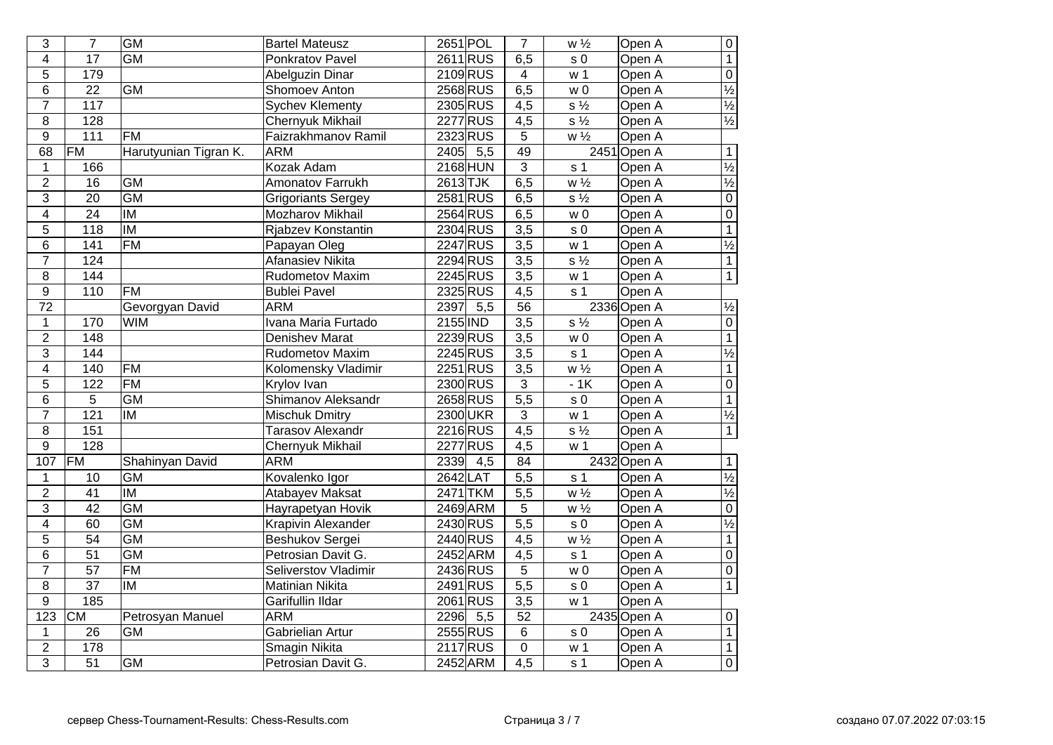| 3                | $\overline{7}$    | <b>GM</b>                | <b>Bartel Mateusz</b>     | 2651 POL                 | $\overline{7}$   | $w\sqrt{2}$               | Open A      | $\overline{0}$           |
|------------------|-------------------|--------------------------|---------------------------|--------------------------|------------------|---------------------------|-------------|--------------------------|
| $\overline{4}$   | $\overline{17}$   | <b>GM</b>                | <b>Ponkratov Pavel</b>    | 2611RUS                  | 6,5              | s <sub>0</sub>            | Open A      | $\overline{1}$           |
| 5                | 179               |                          | <b>Abelguzin Dinar</b>    | 2109 RUS                 | $\overline{4}$   | w <sub>1</sub>            | Open A      | $\overline{0}$           |
| 6                | $\overline{22}$   | <b>GM</b>                | <b>Shomoev Anton</b>      | 2568 RUS                 | 6,5              | W <sub>0</sub>            | Open A      | $\frac{1}{2}$            |
| $\overline{7}$   | $\frac{117}{117}$ |                          | <b>Sychev Klementy</b>    | 2305 RUS                 | $\overline{4,5}$ | $s\frac{1}{2}$            | Open A      | $\frac{1}{2}$            |
| 8                | 128               |                          | <b>Chernyuk Mikhail</b>   | 2277 RUS                 | $\overline{4,5}$ | $\overline{s\frac{1}{2}}$ | Open A      | $\frac{1}{2}$            |
| 9                | $\frac{111}{111}$ | <b>FM</b>                | Faizrakhmanov Ramil       | 2323 RUS                 | 5                | $W\frac{1}{2}$            | Open A      |                          |
| 68               | FM                | Harutyunian Tigran K.    | <b>ARM</b>                | 2405<br>5,5              | 49               |                           | 2451 Open A | $\overline{1}$           |
| $\mathbf 1$      | 166               |                          | Kozak Adam                | <b>2168 HUN</b>          | $\overline{3}$   | s <sub>1</sub>            | Open A      | $\frac{1}{2}$            |
| $\overline{2}$   | 16                | <b>GM</b>                | Amonatov Farrukh          | 2613TJK                  | 6,5              | $w\frac{1}{2}$            | Open A      | $\frac{1}{2}$            |
| 3                | $\overline{20}$   | <b>GM</b>                | <b>Grigoriants Sergey</b> | 2581 RUS                 | 6,5              | $s\frac{1}{2}$            | Open A      | $\overline{0}$           |
| $\overline{4}$   | $\overline{24}$   | <b>IM</b>                | Mozharov Mikhail          | 2564 RUS                 | 6,5              | w <sub>0</sub>            | Open A      | $\overline{0}$           |
| $\overline{5}$   | 118               | $\overline{\mathsf{IM}}$ | Rjabzev Konstantin        | 2304 RUS                 | $\overline{3,5}$ | $\sqrt{s}$ 0              | Open A      | $\overline{1}$           |
| 6                | 141               | <b>FM</b>                | Papayan Oleg              | 2247 RUS                 | $\overline{3,5}$ | w <sub>1</sub>            | Open A      | $\overline{\frac{1}{2}}$ |
| $\overline{7}$   | 124               |                          | <b>Afanasiev Nikita</b>   | 2294 RUS                 | 3,5              | $s\frac{1}{2}$            | Open A      | $\overline{1}$           |
| 8                | 144               |                          | <b>Rudometov Maxim</b>    | 2245 RUS                 | 3,5              | w <sub>1</sub>            | Open A      | $\overline{1}$           |
| $\overline{9}$   | 110               | <b>FM</b>                | <b>Bublei Pavel</b>       | 2325 RUS                 | 4,5              | s <sub>1</sub>            | Open A      |                          |
| 72               |                   | Gevorgyan David          | <b>ARM</b>                | 5,5<br>2397              | 56               |                           | 2336 Open A | $\overline{\frac{1}{2}}$ |
| $\mathbf 1$      | 170               | <b>WIM</b>               | Ivana Maria Furtado       | 2155 IND                 | $\overline{3,5}$ | $s\frac{1}{2}$            | Open A      | $\overline{0}$           |
| $\overline{2}$   | 148               |                          | <b>Denishev Marat</b>     | 2239RUS                  | 3,5              | w <sub>0</sub>            | Open A      | $\overline{1}$           |
| 3                | 144               |                          | Rudometov Maxim           | 2245 RUS                 | $\overline{3,5}$ | s <sub>1</sub>            | Open A      | $\overline{\frac{1}{2}}$ |
| $\overline{4}$   | 140               | FM                       | Kolomensky Vladimir       | 2251 RUS                 | $\overline{3,5}$ | $w\frac{1}{2}$            | Open A      | $\overline{1}$           |
| $\overline{5}$   | 122               | <b>FM</b>                | Krylov Ivan               | 2300 RUS                 | $\overline{3}$   | $-1K$                     | Open A      | $\overline{0}$           |
| 6                | 5                 | <b>GM</b>                | Shimanov Aleksandr        | 2658 RUS                 | $\overline{5,5}$ | $\sqrt{s}$ 0              | Open A      | $\overline{1}$           |
| $\overline{7}$   | $\overline{121}$  | <b>IM</b>                | <b>Mischuk Dmitry</b>     | 2300 UKR                 | $\overline{3}$   | w <sub>1</sub>            | Open A      | $\overline{\frac{1}{2}}$ |
| 8                | 151               |                          | <b>Tarasov Alexandr</b>   | 2216 RUS                 | 4,5              | $s\frac{1}{2}$            | Open A      | $\overline{1}$           |
| $\overline{9}$   | $\overline{128}$  |                          | Chernyuk Mikhail          | <b>2277 RUS</b>          | 4,5              | w <sub>1</sub>            | Open A      |                          |
| 107              | <b>FM</b>         | Shahinyan David          | <b>ARM</b>                | 2339<br>4,5              | 84               |                           | 2432 Open A | $\mathbf{1}$             |
| $\mathbf 1$      | 10                | <b>GM</b>                | Kovalenko Igor            | 2642LAT                  | $\overline{5,5}$ | s <sub>1</sub>            | Open A      | $\overline{\frac{1}{2}}$ |
| $\overline{2}$   | $\overline{41}$   | $\overline{\mathsf{IM}}$ | Atabayev Maksat           | 2471 TKM                 | $\overline{5,5}$ | $\overline{w\frac{1}{2}}$ | Open A      | $\overline{\frac{1}{2}}$ |
| 3                | $\overline{42}$   | GM                       | Hayrapetyan Hovik         | 2469 ARM                 | 5                | $w \frac{1}{2}$           | Open A      | $\overline{0}$           |
| $\overline{4}$   | 60                | <b>GM</b>                | Krapivin Alexander        | 2430 RUS                 | $\frac{1}{5,5}$  | $\sqrt{s}$ 0              | Open A      | $\overline{\frac{1}{2}}$ |
| 5                | $\overline{54}$   | <b>GM</b>                | Beshukov Sergei           | 2440 RUS                 | 4,5              | $w\frac{1}{2}$            | Open A      | $\overline{1}$           |
| 6                | $\overline{51}$   | GM                       | Petrosian Davit G.        | 2452 ARM                 | $\overline{4,5}$ | s <sub>1</sub>            | Open A      | $\overline{0}$           |
| $\overline{7}$   | $\overline{57}$   | F M                      | Seliverstov Vladimir      | 2436 RUS                 | $\overline{5}$   | $\overline{w}$ 0          | Open A      | $\overline{0}$           |
| $\overline{8}$   | $\overline{37}$   | <b>IM</b>                | <b>Matinian Nikita</b>    | 2491 RUS                 | $\frac{1}{5,5}$  | s <sub>0</sub>            | Open A      | $\overline{1}$           |
| $\overline{9}$   | 185               |                          | Garifullin Ildar          | 2061 RUS                 | $\overline{3,5}$ | w <sub>1</sub>            | Open A      |                          |
| $\overline{123}$ | CM                | Petrosyan Manuel         | <b>ARM</b>                | 2296<br>$\overline{5,5}$ | $\overline{52}$  |                           | 2435 Open A | $\overline{0}$           |
| $\mathbf 1$      | $\overline{26}$   | <b>GM</b>                | Gabrielian Artur          | 2555 RUS                 | $\overline{6}$   | s <sub>0</sub>            | Open A      | $\overline{1}$           |
| $\overline{2}$   | 178               |                          | <b>Smagin Nikita</b>      | 2117 RUS                 | $\overline{0}$   | w <sub>1</sub>            | Open A      | $\overline{1}$           |
| $\overline{3}$   | $\overline{51}$   | <b>GM</b>                | Petrosian Davit G.        | 2452 ARM                 | $\overline{4,5}$ | s <sub>1</sub>            | Open A      | $\overline{0}$           |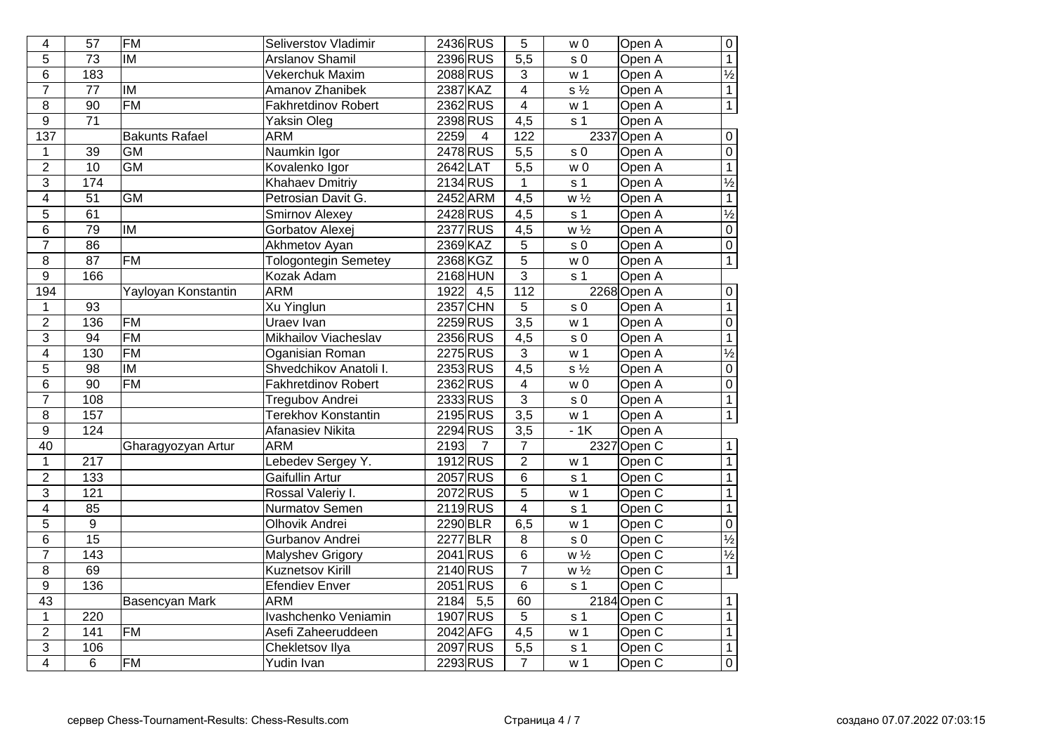| $\overline{4}$   | $\overline{57}$  | <b>FM</b>             | Seliverstov Vladimir        | 2436 RUS                 | 5                       | W <sub>0</sub>            | Open A            | $\overline{0}$           |
|------------------|------------------|-----------------------|-----------------------------|--------------------------|-------------------------|---------------------------|-------------------|--------------------------|
| 5                | $\overline{73}$  | <b>IM</b>             | <b>Arslanov Shamil</b>      | 2396 RUS                 | $\overline{5,5}$        | s <sub>0</sub>            | Open A            | $\overline{1}$           |
| 6                | 183              |                       | Vekerchuk Maxim             | 2088 RUS                 | $\mathbf{3}$            | w <sub>1</sub>            | Open A            | $\frac{1}{2}$            |
| $\overline{7}$   | 77               | lм                    | <b>Amanov Zhanibek</b>      | 2387 KAZ                 | $\overline{4}$          | $s\frac{1}{2}$            | Open A            | $\overline{1}$           |
| $\bf 8$          | 90               | FM                    | <b>Fakhretdinov Robert</b>  | 2362 RUS                 | $\overline{\mathbf{4}}$ | w <sub>1</sub>            | Open A            | $\overline{1}$           |
| 9                | 71               |                       | Yaksin Oleg                 | 2398 RUS                 | 4,5                     | s <sub>1</sub>            | Open A            |                          |
| $\overline{137}$ |                  | <b>Bakunts Rafael</b> | <b>ARM</b>                  | 2259<br>$\overline{4}$   | 122                     |                           | 2337 Open A       | $\pmb{0}$                |
| 1                | 39               | <b>GM</b>             | Naumkin Igor                | 2478 RUS                 | 5,5                     | s <sub>0</sub>            | Open A            | $\overline{0}$           |
| $\overline{2}$   | 10               | <b>GM</b>             | Kovalenko Igor              | 2642 LAT                 | $\overline{5,5}$        | W <sub>0</sub>            | Open A            | $\overline{1}$           |
| 3                | 174              |                       | <b>Khahaev Dmitriy</b>      | 2134 RUS                 | $\mathbf{1}$            | s <sub>1</sub>            | Open A            | $\frac{1}{2}$            |
| 4                | $\overline{51}$  | $\overline{GM}$       | Petrosian Davit G.          | 2452 ARM                 | $\overline{4,5}$        | $w\frac{1}{2}$            | Open A            | $\overline{1}$           |
| $\overline{5}$   | 61               |                       | <b>Smirnov Alexey</b>       | 2428 RUS                 | $\overline{4,5}$        | s <sub>1</sub>            | Open A            | $\overline{\frac{1}{2}}$ |
| $\overline{6}$   | $\overline{79}$  | IM                    | Gorbatov Alexej             | 2377 RUS                 | $\overline{4,5}$        | $\overline{w\frac{1}{2}}$ | Open A            | $\overline{0}$           |
| $\overline{7}$   | $\overline{86}$  |                       | Akhmetov Ayan               | 2369 KAZ                 | $\overline{5}$          | s <sub>0</sub>            | Open A            | $\overline{0}$           |
| 8                | $\overline{87}$  | $\overline{FM}$       | <b>Tologontegin Semetey</b> | 2368 KGZ                 | $\overline{5}$          | w <sub>0</sub>            | Open A            | $\overline{1}$           |
| $\boldsymbol{9}$ | 166              |                       | Kozak Adam                  | <b>2168 HUN</b>          | 3                       | s <sub>1</sub>            | Open A            |                          |
| 194              |                  | Yayloyan Konstantin   | <b>ARM</b>                  | 1922<br>4,5              | $\overline{112}$        |                           | 2268 Open A       | $\mathbf 0$              |
| $\mathbf 1$      | 93               |                       | <b>Xu Yinglun</b>           | 2357 CHN                 | $\overline{5}$          | s <sub>0</sub>            | Open A            | $\overline{1}$           |
| $\overline{2}$   | 136              | <b>FM</b>             | Uraev Ivan                  | 2259 RUS                 | $\overline{3,5}$        | w <sub>1</sub>            | Open A            | $\overline{0}$           |
| $\overline{3}$   | 94               | <b>FM</b>             | Mikhailov Viacheslav        | 2356 RUS                 | $\overline{4,5}$        | s <sub>0</sub>            | Open A            | $\overline{1}$           |
| 4                | 130              | <b>FM</b>             | Oganisian Roman             | 2275 RUS                 | $\overline{3}$          | w <sub>1</sub>            | Open A            | $\overline{\frac{1}{2}}$ |
| $\overline{5}$   | 98               | <b>IM</b>             | Shvedchikov Anatoli I.      | 2353RUS                  | $\overline{4,5}$        | $s\frac{1}{2}$            | Open A            | $\overline{0}$           |
| $\overline{6}$   | $\overline{90}$  | $\overline{FM}$       | <b>Fakhretdinov Robert</b>  | 2362RUS                  | $\overline{4}$          | w <sub>0</sub>            | Open A            | $\overline{0}$           |
| $\overline{7}$   | 108              |                       | <b>Tregubov Andrei</b>      | 2333RUS                  | $\overline{3}$          | s <sub>0</sub>            | Open A            | $\overline{1}$           |
| $\overline{8}$   | 157              |                       | <b>Terekhov Konstantin</b>  | 2195 RUS                 | $\overline{3,5}$        | w <sub>1</sub>            | Open A            | $\overline{1}$           |
| $\overline{9}$   | 124              |                       | <b>Afanasiev Nikita</b>     | 2294 RUS                 | $\overline{3,5}$        | $-1K$                     | Open A            |                          |
| 40               |                  | Gharagyozyan Artur    | <b>ARM</b>                  | 2193<br>7                | 7                       |                           | 2327 Open C       | $\overline{1}$           |
| $\mathbf 1$      | 217              |                       | Lebedev Sergey Y.           | 1912RUS                  | $\overline{2}$          | w <sub>1</sub>            | Open <sub>C</sub> | $\overline{1}$           |
| $\overline{2}$   | 133              |                       | Gaifullin Artur             | 2057 RUS                 | $\overline{6}$          | s <sub>1</sub>            | Open C            | $\overline{1}$           |
| $\overline{3}$   | $\overline{121}$ |                       | Rossal Valeriy I.           | 2072RUS                  | $\overline{5}$          | w <sub>1</sub>            | Open C            | $\overline{1}$           |
| $\overline{4}$   | 85               |                       | <b>Nurmatov Semen</b>       | 2119RUS                  | $\overline{4}$          | s <sub>1</sub>            | Open C            | $\overline{1}$           |
| $\overline{5}$   | $\boldsymbol{9}$ |                       | <b>Olhovik Andrei</b>       | 2290 BLR                 | 6,5                     | w <sub>1</sub>            | Open C            | $\overline{0}$           |
| $\overline{6}$   | $\overline{15}$  |                       | Gurbanov Andrei             | 2277 BLR                 | 8                       | s <sub>0</sub>            | Open C            | $\overline{\frac{1}{2}}$ |
| $\overline{7}$   | $\overline{143}$ |                       | <b>Malyshev Grigory</b>     | 2041 RUS                 | $\overline{6}$          | $\overline{w\frac{1}{2}}$ | Open C            | $\overline{\frac{1}{2}}$ |
| $\overline{8}$   | 69               |                       | Kuznetsov Kirill            | 2140 RUS                 | $\overline{7}$          | $\overline{w\frac{1}{2}}$ | Open C            | $\overline{1}$           |
| $\overline{9}$   | 136              |                       | <b>Efendiev Enver</b>       | 2051 RUS                 | $\overline{6}$          | s <sub>1</sub>            | Open C            |                          |
| $\overline{43}$  |                  | Basencyan Mark        | <b>ARM</b>                  | 2184<br>$\overline{5,5}$ | 60                      |                           | 2184 Open C       | $\mathbf{1}$             |
| $\mathbf{1}$     | $\overline{220}$ |                       | Ivashchenko Veniamin        | 1907 RUS                 | $\overline{5}$          | s <sub>1</sub>            | Open C            | $\overline{1}$           |
| $\overline{2}$   | 141              | <b>FM</b>             | Asefi Zaheeruddeen          | 2042 AFG                 | $\overline{4,5}$        | w <sub>1</sub>            | Open C            | $\overline{1}$           |
| $\overline{3}$   | 106              |                       | <b>Chekletsov Ilya</b>      | 2097 RUS                 | $\overline{5,5}$        | $\overline{s}$ 1          | Open C            | $\overline{1}$           |
| $\overline{4}$   | 6                | <b>FM</b>             | Yudin Ivan                  | 2293 RUS                 | $\overline{7}$          | w 1                       | Open C            | $\overline{0}$           |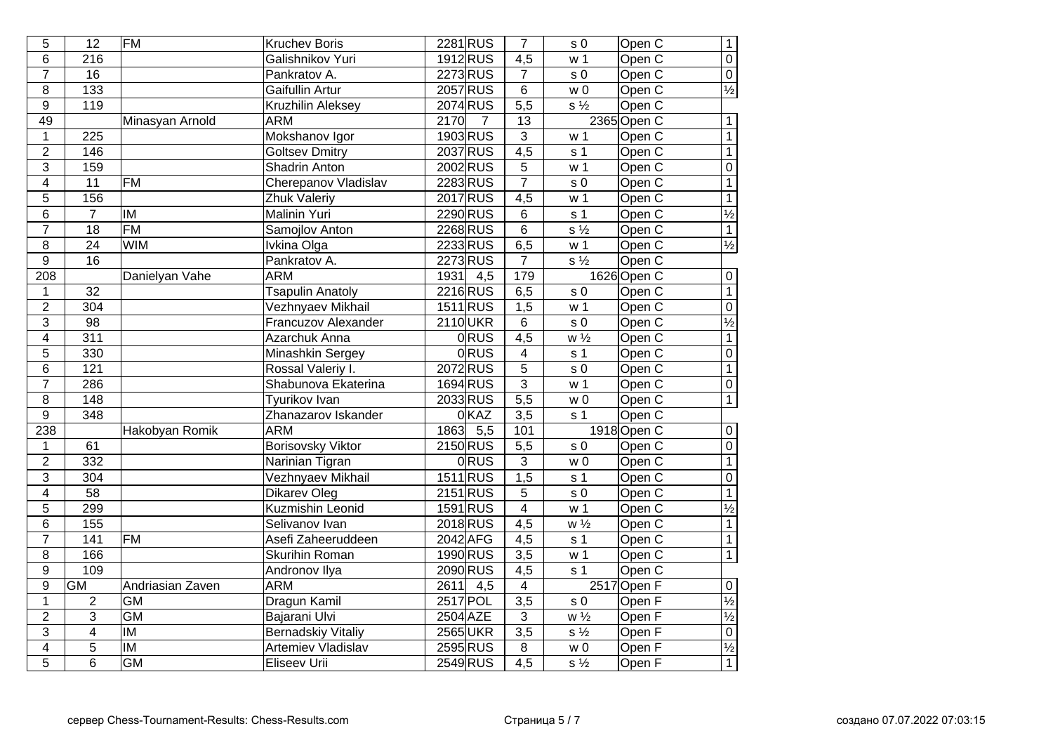| 5              | $\overline{12}$  | <b>FM</b>               | <b>Kruchev Boris</b>      | 2281 RUS                 | $\overline{7}$   | s <sub>0</sub>              | Open C            | $\overline{1}$           |
|----------------|------------------|-------------------------|---------------------------|--------------------------|------------------|-----------------------------|-------------------|--------------------------|
| 6              | $\frac{216}{ }$  |                         | Galishnikov Yuri          | 1912 RUS                 | $\overline{4,5}$ | w <sub>1</sub>              | Open <sub>C</sub> | $\overline{0}$           |
| $\overline{7}$ | $\overline{16}$  |                         | Pankratov A.              | 2273 RUS                 | $\overline{7}$   | s <sub>0</sub>              | Open <sub>C</sub> | $\overline{0}$           |
| 8              | 133              |                         | Gaifullin Artur           | 2057 RUS                 | 6                | W <sub>0</sub>              | Open C            | $\frac{1}{2}$            |
| 9              | 119              |                         | Kruzhilin Aleksey         | 2074 RUS                 | $\overline{5,5}$ | $s\frac{1}{2}$              | Open C            |                          |
| 49             |                  | Minasyan Arnold         | <b>ARM</b>                | 2170<br>7                | 13               |                             | 2365 Open C       | $\mathbf{1}$             |
| $\mathbf 1$    | 225              |                         | Mokshanov Igor            | 1903 RUS                 | $\overline{3}$   | w <sub>1</sub>              | Open C            | $\overline{1}$           |
| $\overline{2}$ | 146              |                         | <b>Goltsev Dmitry</b>     | 2037 RUS                 | 4,5              | s <sub>1</sub>              | Open C            | $\overline{1}$           |
| $\overline{3}$ | 159              |                         | Shadrin Anton             | 2002 RUS                 | $\sqrt{5}$       | w <sub>1</sub>              | Open C            | $\overline{0}$           |
| $\overline{4}$ | $\overline{11}$  | <b>FM</b>               | Cherepanov Vladislav      | 2283 RUS                 | $\overline{7}$   | s <sub>0</sub>              | Open C            | $\overline{1}$           |
| 5              | 156              |                         | Zhuk Valeriy              | 2017 RUS                 | $\overline{4,5}$ | w <sub>1</sub>              | Open C            | $\overline{1}$           |
| $\overline{6}$ | $\overline{7}$   | $\overline{\mathsf{M}}$ | Malinin Yuri              | 2290 RUS                 | $\overline{6}$   | s <sub>1</sub>              | Open C            | $\frac{1}{2}$            |
| $\overline{7}$ | $\overline{18}$  | FM                      | Samojlov Anton            | 2268 RUS                 | $\overline{6}$   | $\overline{s\frac{1}{2}}$   | Open C            | $\overline{1}$           |
| 8              | $\overline{24}$  | <b>WIM</b>              | Ivkina Olga               | 2233 RUS                 | 6,5              | w <sub>1</sub>              | Open C            | $\frac{1}{2}$            |
| 9              | $\overline{16}$  |                         | Pankratov A.              | 2273 RUS                 | $\overline{7}$   | $s\frac{1}{2}$              | Open C            |                          |
| 208            |                  | Danielyan Vahe          | <b>ARM</b>                | 1931<br>4,5              | 179              |                             | 1626 Open C       | $\boldsymbol{0}$         |
| $\mathbf 1$    | 32               |                         | <b>Tsapulin Anatoly</b>   | 2216 RUS                 | 6,5              | s <sub>0</sub>              | Open C            | $\overline{1}$           |
| $\overline{2}$ | $\overline{304}$ |                         | Vezhnyaev Mikhail         | 1511 RUS                 | $\overline{1,5}$ | w <sub>1</sub>              | Open <sub>C</sub> | $\overline{0}$           |
| 3              | $\overline{98}$  |                         | Francuzov Alexander       | 2110UKR                  | 6                | s <sub>0</sub>              | Open <sub>C</sub> | $\frac{1}{2}$            |
| $\overline{4}$ | $\overline{311}$ |                         | Azarchuk Anna             | <b>ORUS</b>              | $\overline{4,5}$ | $w\frac{1}{2}$              | Open C            | $\overline{1}$           |
| $\overline{5}$ | 330              |                         | Minashkin Sergey          | <b>ORUS</b>              | $\overline{4}$   | s <sub>1</sub>              | Open C            | $\overline{0}$           |
| $\overline{6}$ | $\overline{121}$ |                         | Rossal Valeriy I.         | 2072RUS                  | $\overline{5}$   | s <sub>0</sub>              | Open C            | $\overline{1}$           |
| $\overline{7}$ | 286              |                         | Shabunova Ekaterina       | 1694 RUS                 | $\overline{3}$   | $\overline{w}$ 1            | Open C            | $\overline{0}$           |
| $\overline{8}$ | 148              |                         | <b>Tyurikov Ivan</b>      | 2033 RUS                 | $\overline{5,5}$ | $\overline{w}$ 0            | Open C            | $\overline{1}$           |
| $\overline{9}$ | 348              |                         | Zhanazarov Iskander       | 0KAZ                     | $\overline{3,5}$ | s <sub>1</sub>              | Open C            |                          |
| 238            |                  | Hakobyan Romik          | <b>ARM</b>                | 1863<br>$\overline{5,5}$ | 101              |                             | 1918 Open C       | $\overline{0}$           |
| 1              | 61               |                         | <b>Borisovsky Viktor</b>  | 2150 RUS                 | $\overline{5,5}$ | s <sub>0</sub>              | Open C            | $\overline{0}$           |
| $\overline{2}$ | 332              |                         | Narinian Tigran           | 0RUS                     | $\overline{3}$   | w <sub>0</sub>              | Open C            | $\overline{1}$           |
| $\overline{3}$ | $\overline{304}$ |                         | Vezhnyaev Mikhail         | 1511 RUS                 | $\overline{1,5}$ | s <sub>1</sub>              | Open <sub>C</sub> | $\overline{0}$           |
| $\overline{4}$ | $\overline{58}$  |                         | <b>Dikarev Oleg</b>       | $2151$ RUS               | $\overline{5}$   | $\overline{s}$ <sub>0</sub> | Open C            | $\overline{1}$           |
| 5              | 299              |                         | <b>Kuzmishin Leonid</b>   | 1591 RUS                 | $\overline{4}$   | w <sub>1</sub>              | Open C            | $\overline{\frac{1}{2}}$ |
| $\overline{6}$ | 155              |                         | Selivanov Ivan            | 2018 RUS                 | $\overline{4,5}$ | $W\frac{1}{2}$              | Open <sub>C</sub> | $\overline{1}$           |
| $\overline{7}$ | $\overline{141}$ | <b>FM</b>               | Asefi Zaheeruddeen        | 2042 AFG                 | $\overline{4,5}$ | s <sub>1</sub>              | Open C            | $\overline{1}$           |
| $\overline{8}$ | 166              |                         | <b>Skurihin Roman</b>     | 1990 RUS                 | $\overline{3,5}$ | w <sub>1</sub>              | Open <sub>C</sub> | $\overline{1}$           |
| $\overline{9}$ | 109              |                         | Andronov Ilya             | 2090 RUS                 | $\overline{4,5}$ | $\overline{s}$ 1            | Open C            |                          |
| $\overline{9}$ | <b>GM</b>        | Andriasian Zaven        | <b>ARM</b>                | $-4,5$<br>2611           | $\overline{4}$   |                             | 2517 Open F       | $\overline{0}$           |
| $\mathbf 1$    | 2                | <b>GM</b>               | Dragun Kamil              | 2517 POL                 | $\overline{3,5}$ | s <sub>0</sub>              | Open F            | $\overline{\frac{1}{2}}$ |
| $\overline{2}$ | $\overline{3}$   | GM                      | Bajarani Ulvi             | 2504 AZE                 | 3                | $\overline{w\frac{1}{2}}$   | Open F            | $\frac{1}{2}$            |
| $\overline{3}$ | $\overline{4}$   | $\overline{\mathsf{I}}$ | <b>Bernadskiy Vitaliy</b> | 2565 UKR                 | $\overline{3,5}$ | $\overline{s\frac{1}{2}}$   | Open F            | $\overline{0}$           |
| $\overline{4}$ | $\overline{5}$   | <b>IM</b>               | <b>Artemiev Vladislav</b> | 2595 RUS                 | $\overline{8}$   | $\overline{w}$ 0            | Open F            | $\frac{1}{2}$            |
| $\overline{5}$ | $\overline{6}$   | <b>GM</b>               | Eliseev Urii              | 2549 RUS                 | $\overline{4,5}$ | $\overline{s\frac{1}{2}}$   | Open <sub>F</sub> | $\overline{1}$           |
|                |                  |                         |                           |                          |                  |                             |                   |                          |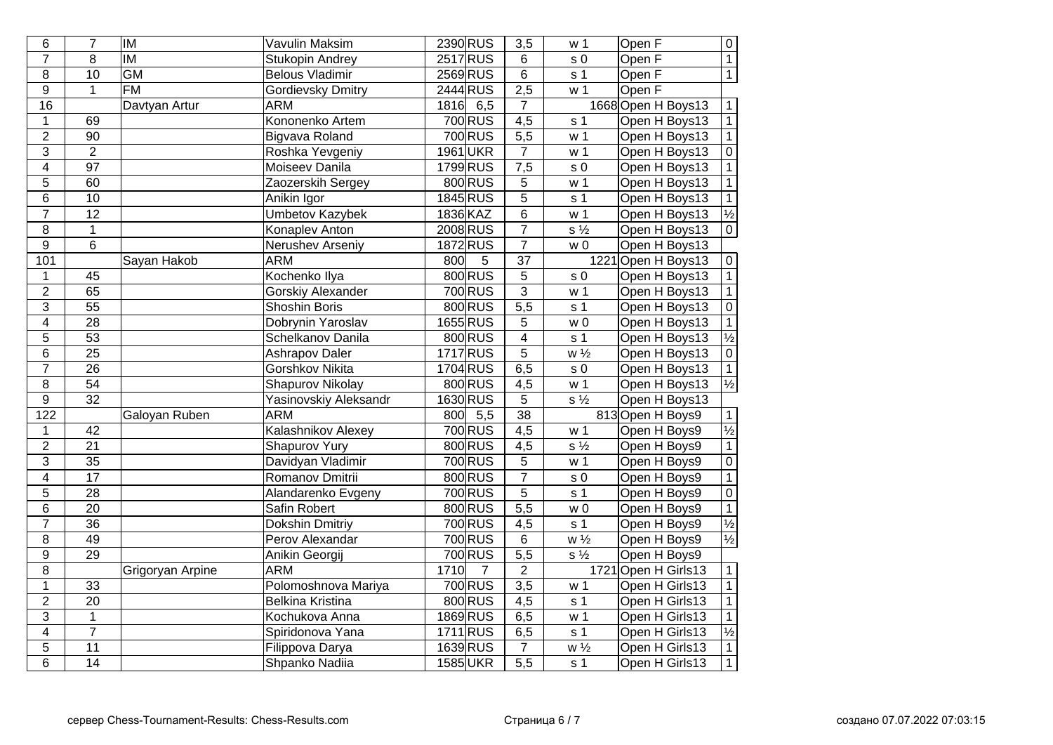| 6                | $\overline{7}$  | <b>IM</b>        | Vavulin Maksim           |      | 2390 RUS             | $\overline{3,5}$        | w <sub>1</sub>            | Open $\overline{F}$ | $\overline{0}$           |
|------------------|-----------------|------------------|--------------------------|------|----------------------|-------------------------|---------------------------|---------------------|--------------------------|
| $\overline{7}$   | $\overline{8}$  | IM               | <b>Stukopin Andrey</b>   |      | 2517 RUS             | 6                       | s <sub>0</sub>            | Open F              | $\overline{1}$           |
| 8                | $\overline{10}$ | <b>GM</b>        | <b>Belous Vladimir</b>   |      | 2569 RUS             | $\overline{6}$          | s <sub>1</sub>            | Open F              | $\overline{1}$           |
| $\overline{9}$   | $\mathbf{1}$    | $\overline{FM}$  | <b>Gordievsky Dmitry</b> |      | 2444 RUS             | 2,5                     | $\overline{w}$ 1          | Open F              |                          |
| 16               |                 | Davtyan Artur    | <b>ARM</b>               | 1816 | 6,5                  | 7                       |                           | 1668 Open H Boys13  | $\mathbf{1}$             |
| $\mathbf 1$      | 69              |                  | Kononenko Artem          |      | 700 RUS              | $\overline{4,5}$        | s <sub>1</sub>            | Open H Boys13       | $\overline{1}$           |
| $\overline{2}$   | $\overline{90}$ |                  | Bigvava Roland           |      | 700 RUS              | $\overline{5,5}$        | w <sub>1</sub>            | Open H Boys13       | $\overline{1}$           |
| $\overline{3}$   | $\overline{2}$  |                  | Roshka Yevgeniy          |      | 1961 UKR             | $\overline{7}$          | w <sub>1</sub>            | Open H Boys13       | $\overline{0}$           |
| $\overline{4}$   | $\overline{97}$ |                  | Moiseev Danila           |      | 1799 RUS             | 7,5                     | s <sub>0</sub>            | Open H Boys13       | $\overline{1}$           |
| 5                | 60              |                  | Zaozerskih Sergey        |      | 800 RUS              | 5                       | w <sub>1</sub>            | Open H Boys13       | $\overline{1}$           |
| $6\phantom{1}$   | 10              |                  | Anikin Igor              |      | 1845 RUS             | $\frac{5}{6}$           | s <sub>1</sub>            | Open H Boys13       | $\overline{1}$           |
| $\overline{7}$   | $\overline{12}$ |                  | <b>Umbetov Kazybek</b>   |      | 1836 KAZ             |                         | w <sub>1</sub>            | Open H Boys13       | $\frac{1}{2}$<br>0       |
| $\bf 8$          | $\overline{1}$  |                  | Konaplev Anton           |      | 2008 RUS             | $\overline{7}$          | $\overline{s\frac{1}{2}}$ | Open H Boys13       |                          |
| $\overline{9}$   | $\overline{6}$  |                  | Nerushev Arseniy         |      | 1872 RUS             | $\overline{7}$          | W <sub>0</sub>            | Open H Boys13       |                          |
| 101              |                 | Sayan Hakob      | <b>ARM</b>               | 800  | 5                    | $\overline{37}$         |                           | 1221 Open H Boys13  | $\overline{0}$           |
| $\mathbf{1}$     | 45              |                  | Kochenko Ilya            |      | 800 RUS              | $\overline{5}$          | s <sub>0</sub>            | Open H Boys13       | $\overline{1}$           |
| $\overline{2}$   | 65              |                  | <b>Gorskiy Alexander</b> |      | 700 RUS              | $\overline{3}$          | w <sub>1</sub>            | Open H Boys13       | $\mathbf{1}$             |
| $\overline{3}$   | $\overline{55}$ |                  | <b>Shoshin Boris</b>     |      | 800 RUS              | $\overline{5,5}$        | s <sub>1</sub>            | Open H Boys13       | $\overline{0}$           |
| $\overline{4}$   | $\overline{28}$ |                  | Dobrynin Yaroslav        |      | 1655 RUS             | $\overline{5}$          | W <sub>0</sub>            | Open H Boys13       | $\overline{1}$           |
| $\overline{5}$   | $\overline{53}$ |                  | Schelkanov Danila        |      | 800 RUS              | $\overline{\mathbf{4}}$ | s <sub>1</sub>            | Open H Boys13       | $\frac{1}{2}$<br>0       |
| $\,6$            | $\overline{25}$ |                  | <b>Ashrapov Daler</b>    |      | 1717 RUS             | $\overline{5}$          | $w\frac{1}{2}$            | Open H Boys13       |                          |
| $\overline{7}$   | $\overline{26}$ |                  | <b>Gorshkov Nikita</b>   |      | 1704 RUS             | $\overline{6,5}$        | s <sub>0</sub>            | Open H Boys13       | $\overline{1}$           |
| $\overline{8}$   | $\overline{54}$ |                  | Shapurov Nikolay         |      | 800 RUS              | 4,5                     | w <sub>1</sub>            | Open H Boys13       | $\overline{\frac{1}{2}}$ |
| $\overline{9}$   | $\overline{32}$ |                  | Yasinovskiy Aleksandr    |      | 1630 RUS             | $\overline{5}$          | $\overline{s\frac{1}{2}}$ | Open H Boys13       |                          |
| $\overline{122}$ |                 | Galoyan Ruben    | <b>ARM</b>               | 800  | $\overline{5,5}$     | $\overline{38}$         |                           | 813 Open H Boys9    | $\mathbf{1}$             |
| $\mathbf 1$      | 42              |                  | Kalashnikov Alexey       |      | 700 RUS              | 4,5                     | w <sub>1</sub>            | Open H Boys9        | $\overline{\frac{1}{2}}$ |
| $\overline{2}$   | $\overline{21}$ |                  | <b>Shapurov Yury</b>     |      | 800 RUS              | 4,5                     | $s\frac{1}{2}$            | Open H Boys9        | $\overline{1}$           |
| $\overline{3}$   | $\overline{35}$ |                  | Davidyan Vladimir        |      | 700 RUS              | $\overline{5}$          | w <sub>1</sub>            | Open H Boys9        | $\overline{0}$           |
| $\overline{4}$   | $\overline{17}$ |                  | Romanov Dmitrii          |      | 800 RUS              | $\overline{7}$          | s <sub>0</sub>            | Open H Boys9        | $\overline{1}$           |
| $\overline{5}$   | $\overline{28}$ |                  | Alandarenko Evgeny       |      | 700 RUS              | $\overline{5}$          | s <sub>1</sub>            | Open H Boys9        | $\overline{0}$           |
| $\overline{6}$   | $\overline{20}$ |                  | Safin Robert             |      | 800 RUS              | $\overline{5,5}$        | $\overline{w}$ 0          | Open H Boys9        | $\frac{1}{\frac{1}{2}}$  |
| $\overline{7}$   | $\overline{36}$ |                  | <b>Dokshin Dmitriy</b>   |      | 700 RUS              | $\overline{4,5}$        | s <sub>1</sub>            | Open H Boys9        |                          |
| 8                | $\overline{49}$ |                  | Perov Alexandar          |      | 700 RUS              | $\overline{6}$          | $w\frac{1}{2}$            | Open H Boys9        | $\overline{\frac{1}{2}}$ |
| $\overline{9}$   | $\overline{29}$ |                  | Anikin Georgij           |      | $\overline{700}$ RUS | $\overline{5,5}$        | $\overline{s\frac{1}{2}}$ | Open H Boys9        |                          |
| $\overline{8}$   |                 | Grigoryan Arpine | <b>ARM</b>               | 1710 | $\overline{7}$       | $\overline{2}$          |                           | 1721 Open H Girls13 | $\mathbf{1}$             |
| $\mathbf 1$      | 33              |                  | Polomoshnova Mariya      |      | 700 RUS              | $\overline{3,5}$        | w <sub>1</sub>            | Open H Girls13      | $\overline{1}$           |
| $\overline{2}$   | $\overline{20}$ |                  | <b>Belkina Kristina</b>  |      | 800 RUS              | $\overline{4,5}$        | s <sub>1</sub>            | Open H Girls13      | $\overline{1}$           |
| 3                | $\mathbf 1$     |                  | Kochukova Anna           |      | 1869 RUS             | 6,5                     | w <sub>1</sub>            | Open H Girls13      | $\mathbf{1}$             |
| $\overline{4}$   | $\overline{7}$  |                  | Spiridonova Yana         |      | 1711RUS              | 6,5                     | $\overline{s}$ 1          | Open H Girls13      | $\frac{1}{2}$            |
| $\overline{5}$   | $\overline{11}$ |                  | Filippova Darya          |      | 1639 RUS             | $\overline{7}$          | $\overline{w\frac{1}{2}}$ | Open H Girls13      | $\overline{1}$           |
| $\overline{6}$   | $\overline{14}$ |                  | Shpanko Nadiia           |      | <b>1585UKR</b>       | $\overline{5,5}$        | s <sub>1</sub>            | Open H Girls13      | $\overline{1}$           |